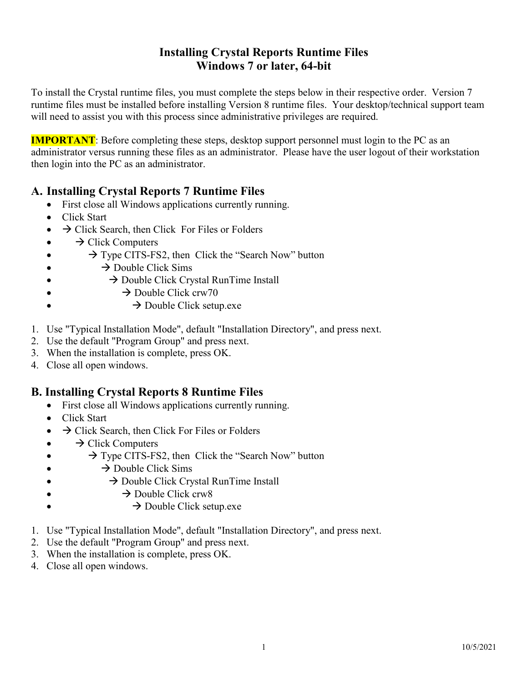# Installing Crystal Reports Runtime Files Windows 7 or later, 64-bit

 To install the Crystal runtime files, you must complete the steps below in their respective order. Version 7 runtime files must be installed before installing Version 8 runtime files. Your desktop/technical support team will need to assist you with this process since administrative privileges are required.

**IMPORTANT**: Before completing these steps, desktop support personnel must login to the PC as an administrator versus running these files as an administrator. Please have the user logout of their workstation then login into the PC as an administrator.

# A. Installing Crystal Reports 7 Runtime Files

- First close all Windows applications currently running.
- Click Start
- $\rightarrow$  Click Search, then Click For Files or Folders
- $\bullet \quad \rightarrow$  Click Computers
- $\rightarrow$  Type CITS-FS2, then Click the "Search Now" button
- $\rightarrow$  Double Click Sims
- $\rightarrow$  Double Click Crystal RunTime Install
- $\rightarrow$  Double Click crw70
- $\rightarrow$  Double Click setup.exe
- 1. Use "Typical Installation Mode", default "Installation Directory", and press next.
- 2. Use the default "Program Group" and press next.
- 3. When the installation is complete, press OK.
- 4. Close all open windows.

### B. Installing Crystal Reports 8 Runtime Files

- First close all Windows applications currently running.
- Click Start
- $\rightarrow$  Click Search, then Click For Files or Folders
- $\bullet \quad \rightarrow$  Click Computers
- $\rightarrow$  Type CITS-FS2, then Click the "Search Now" button
- $\rightarrow$  Double Click Sims
- $\rightarrow$  Double Click Crystal RunTime Install
- $\rightarrow$  Double Click crw8
- $\rightarrow$  Double Click setup.exe
- 1. Use "Typical Installation Mode", default "Installation Directory", and press next.
- 2. Use the default "Program Group" and press next.
- 3. When the installation is complete, press OK.
- 4. Close all open windows.